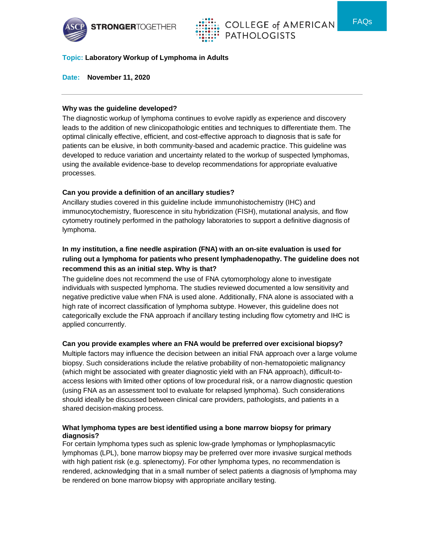



FAQs

### **Topic: Laboratory Workup of Lymphoma in Adults**

**Date: November 11, 2020**

#### **Why was the guideline developed?**

The diagnostic workup of lymphoma continues to evolve rapidly as experience and discovery leads to the addition of new clinicopathologic entities and techniques to differentiate them. The optimal clinically effective, efficient, and cost-effective approach to diagnosis that is safe for patients can be elusive, in both community-based and academic practice. This guideline was developed to reduce variation and uncertainty related to the workup of suspected lymphomas, using the available evidence-base to develop recommendations for appropriate evaluative processes.

### **Can you provide a definition of an ancillary studies?**

Ancillary studies covered in this guideline include immunohistochemistry (IHC) and immunocytochemistry, fluorescence in situ hybridization (FISH), mutational analysis, and flow cytometry routinely performed in the pathology laboratories to support a definitive diagnosis of lymphoma.

# **In my institution, a fine needle aspiration (FNA) with an on-site evaluation is used for ruling out a lymphoma for patients who present lymphadenopathy. The guideline does not recommend this as an initial step. Why is that?**

The guideline does not recommend the use of FNA cytomorphology alone to investigate individuals with suspected lymphoma. The studies reviewed documented a low sensitivity and negative predictive value when FNA is used alone. Additionally, FNA alone is associated with a high rate of incorrect classification of lymphoma subtype. However, this guideline does not categorically exclude the FNA approach if ancillary testing including flow cytometry and IHC is applied concurrently.

### **Can you provide examples where an FNA would be preferred over excisional biopsy?**

Multiple factors may influence the decision between an initial FNA approach over a large volume biopsy. Such considerations include the relative probability of non-hematopoietic malignancy (which might be associated with greater diagnostic yield with an FNA approach), difficult-toaccess lesions with limited other options of low procedural risk, or a narrow diagnostic question (using FNA as an assessment tool to evaluate for relapsed lymphoma). Such considerations should ideally be discussed between clinical care providers, pathologists, and patients in a shared decision-making process.

#### **What lymphoma types are best identified using a bone marrow biopsy for primary diagnosis?**

For certain lymphoma types such as splenic low-grade lymphomas or lymphoplasmacytic lymphomas (LPL), bone marrow biopsy may be preferred over more invasive surgical methods with high patient risk (e.g. splenectomy). For other lymphoma types, no recommendation is rendered, acknowledging that in a small number of select patients a diagnosis of lymphoma may be rendered on bone marrow biopsy with appropriate ancillary testing.